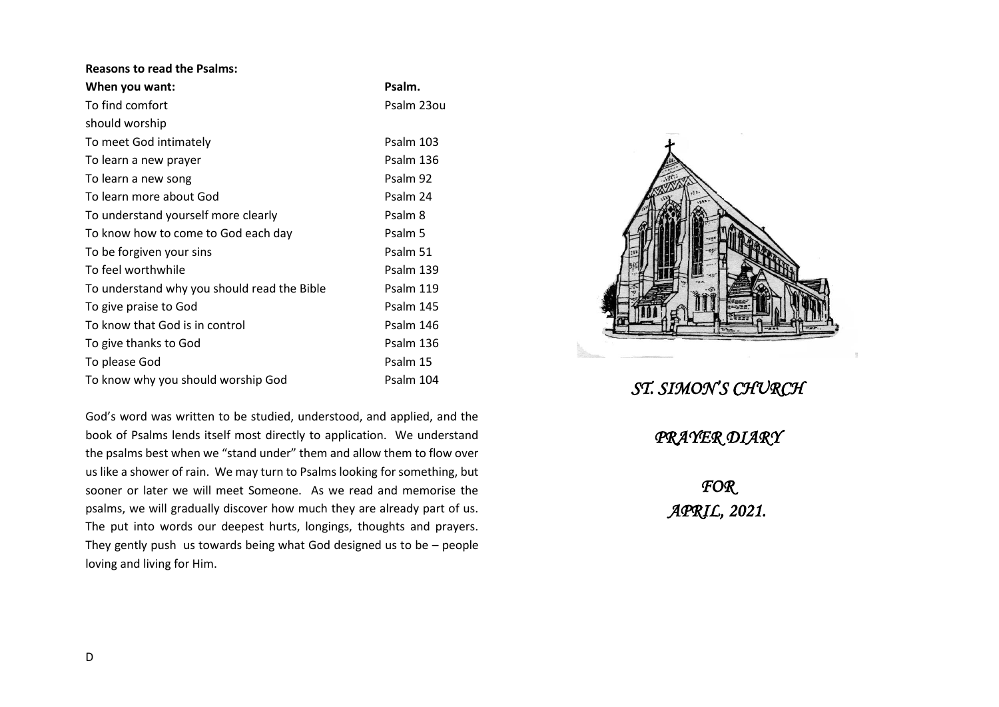| <b>Reasons to read the Psalms:</b>          |            |
|---------------------------------------------|------------|
| When you want:                              | Psalm.     |
| To find comfort                             | Psalm 23ou |
| should worship                              |            |
| To meet God intimately                      | Psalm 103  |
| To learn a new prayer                       | Psalm 136  |
| To learn a new song                         | Psalm 92   |
| To learn more about God                     | Psalm 24   |
| To understand yourself more clearly         | Psalm 8    |
| To know how to come to God each day         | Psalm 5    |
| To be forgiven your sins                    | Psalm 51   |
| To feel worthwhile                          | Psalm 139  |
| To understand why you should read the Bible | Psalm 119  |
| To give praise to God                       | Psalm 145  |
| To know that God is in control              | Psalm 146  |
| To give thanks to God                       | Psalm 136  |
| To please God                               | Psalm 15   |
| To know why you should worship God          | Psalm 104  |

God's word was written to be studied, understood, and applied, and the book of Psalms lends itself most directly to application. We understand the psalms best when we "stand under" them and allow them to flow over us like a shower of rain. We may turn to Psalms looking for something, but sooner or later we will meet Someone. As we read and memorise the psalms, we will gradually discover how much they are already part of us. The put into words our deepest hurts, longings, thoughts and prayers. They gently push us towards being what God designed us to be – people loving and living for Him.



*ST. SIMON'S CHURCH* 

*PRAYER DIARY* 

*FOR APRIL, 2021.*